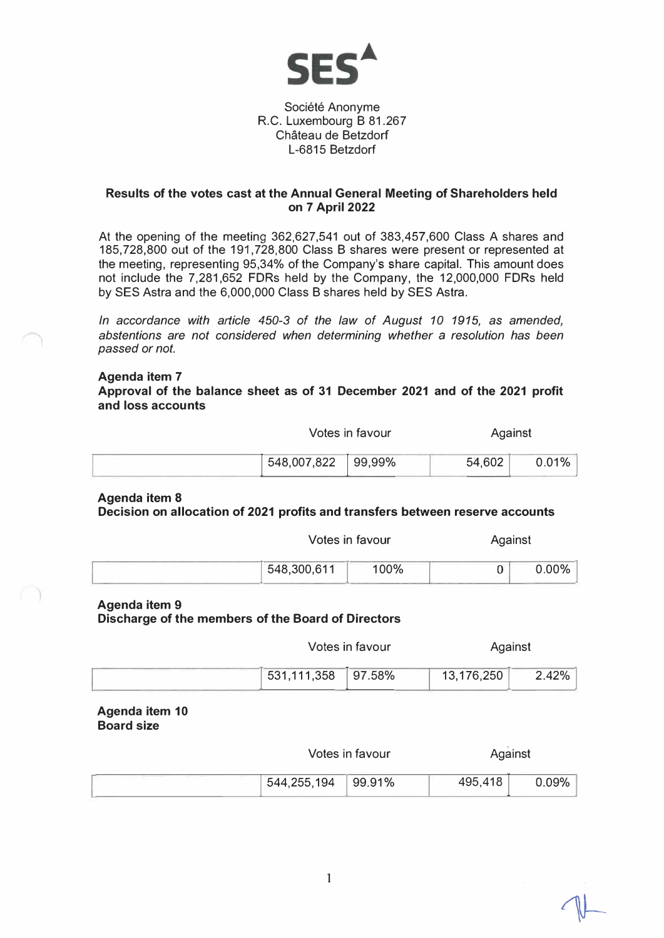

## Société Anonyme R.C. Luxembourg B 81.267 Chateau de Betzdorf L-6815 Betzdorf

#### **Results of the votes cast at the Annual General Meeting of Shareholders held on 7 April 2022**

At the opening of the meeting <sup>36</sup>2,627,5<sup>41</sup> out of <sup>3</sup>83,457,<sup>600</sup> Class A shares and <sup>1</sup>85,728,8<sup>00</sup> out of the 191,728,8<sup>00</sup> Class B shares were present or represented at the meeting, representing 95,34% of the Company's share capital. This amount does not include the 7,281,652 FDRs held by the Company, the <sup>1</sup>2,000,<sup>000</sup> FDRs held by SES Astra and the <sup>6</sup>,000,<sup>000</sup> Class B shares held by SES Astra.

*In accordance with article 450-3 of the law of August 10 1915, as amended, abstentions are not considered when determining whether* a *resolution has been passed or not.* 

#### **Agenda item 7**

**Approval of the balance sheet as of 31 December 2021 and of the 2021 profit and loss accounts** 

> Votes in favour Against

|  | 548,007,822 99,99% |  | 54,602 | 0.01% |
|--|--------------------|--|--------|-------|
|--|--------------------|--|--------|-------|

### **Agenda item 8 Decision on allocation of 2021 profits and transfers between reserve accounts**

| Votes in favour |      | Against |          |
|-----------------|------|---------|----------|
| 548,300,611     | 100% |         | $0.00\%$ |

#### **Agenda item 9**

**Discharge of the members of the Board of Directors** 

| Votes in favour | Against |
|-----------------|---------|
|-----------------|---------|

| $531,111,358$ 97.58% | 13,176,250 | 2.42% |
|----------------------|------------|-------|

**Agenda item 10 Board size** 

Votes in favour **Against** 

| 544,255,194 99.91% | 495,418 | 0.09% |
|--------------------|---------|-------|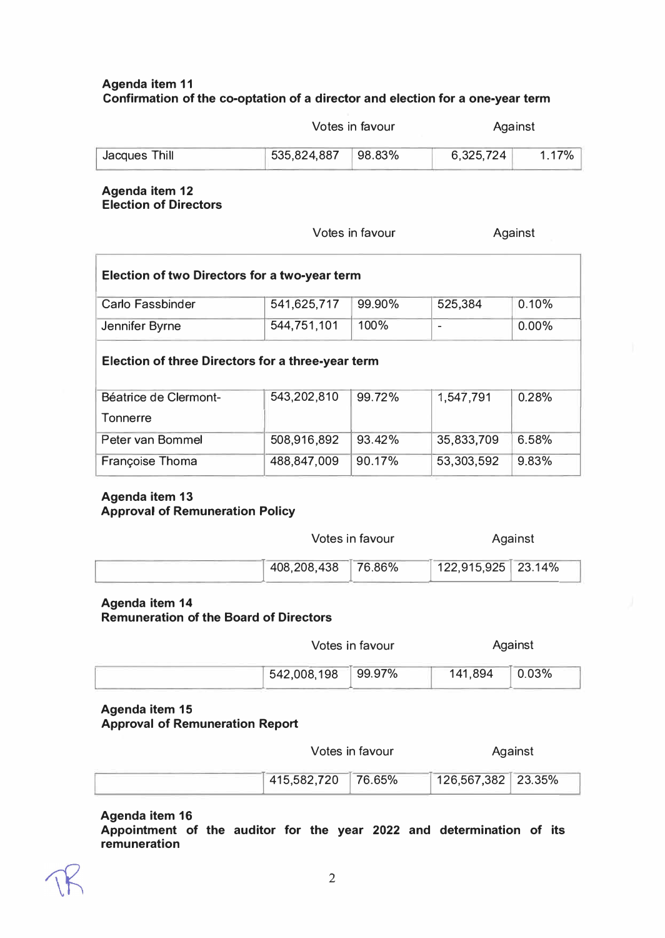## **Agenda item 11 Confirmation of the co-optation of a director and election for a one-year term**

Votes in favour

Against

| Jacques Thill | $535,824,887$ 98.83% | 6,325,724 | .17% |
|---------------|----------------------|-----------|------|
|               |                      |           |      |

## **Agenda item 12 Election of Directors**

Votes in favour

Against

| <b>Election of two Directors for a two-year term</b>     |             |        |            |       |  |  |
|----------------------------------------------------------|-------------|--------|------------|-------|--|--|
| <b>Carlo Fassbinder</b>                                  | 541,625,717 | 99.90% | 525,384    | 0.10% |  |  |
| Jennifer Byrne                                           | 544,751,101 | 100%   | ۰          | 0.00% |  |  |
| <b>Election of three Directors for a three-year term</b> |             |        |            |       |  |  |
| Béatrice de Clermont-<br>Tonnerre                        | 543,202,810 | 99.72% | 1,547,791  | 0.28% |  |  |
| Peter van Bommel                                         | 508,916,892 | 93.42% | 35,833,709 | 6.58% |  |  |
| <b>Françoise Thoma</b>                                   | 488,847,009 | 90.17% | 53,303,592 | 9.83% |  |  |

### **Agenda item 13 Approval of Remuneration Policy**

| Votes in favour    |  |                    | Against |
|--------------------|--|--------------------|---------|
| 408,208,438 76.86% |  | 122,915,925 23.14% |         |

# **Agenda item 14**

**Remuneration of the Board of Directors** 

| Votes in favour |  |
|-----------------|--|
|-----------------|--|

| $1542,008,198$ 99.97% | 141,894 | 0.03% |
|-----------------------|---------|-------|

#### **Agenda item 15 Approval of Remuneration Report**

Votes in favour

Against

Against

|  | $1415,582,720$ 76.65% |  | $126,567,382$ 23.35% |  |  |
|--|-----------------------|--|----------------------|--|--|
|--|-----------------------|--|----------------------|--|--|

## **Agenda item 16**

**Appointment of the auditor for the year 2022 and determination of its remuneration**